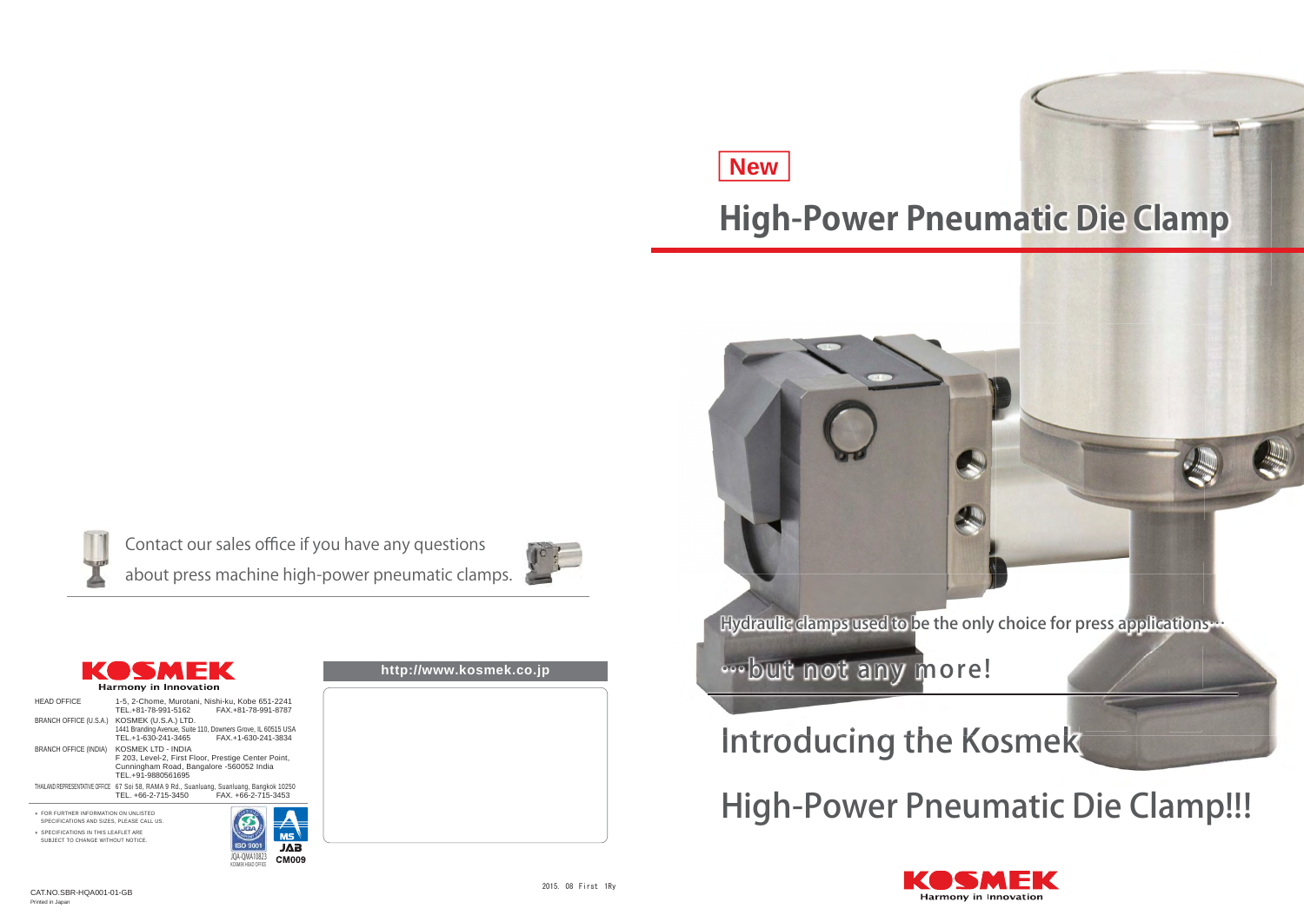| http://www.kosmek.co.jp |  |
|-------------------------|--|
|                         |  |
|                         |  |
|                         |  |
|                         |  |
|                         |  |
|                         |  |
|                         |  |
|                         |  |
|                         |  |
|                         |  |
|                         |  |
|                         |  |
|                         |  |
|                         |  |
|                         |  |
|                         |  |
|                         |  |
|                         |  |
|                         |  |
|                         |  |
|                         |  |





## **High-Power Pneumatic Die Clamp**

# **New**

Contact our sales office if you have any questions about press machine high-power pneumatic clamps.

# Introducing the Kosmek



# High-Power Pneumatic Die Clamp!!!